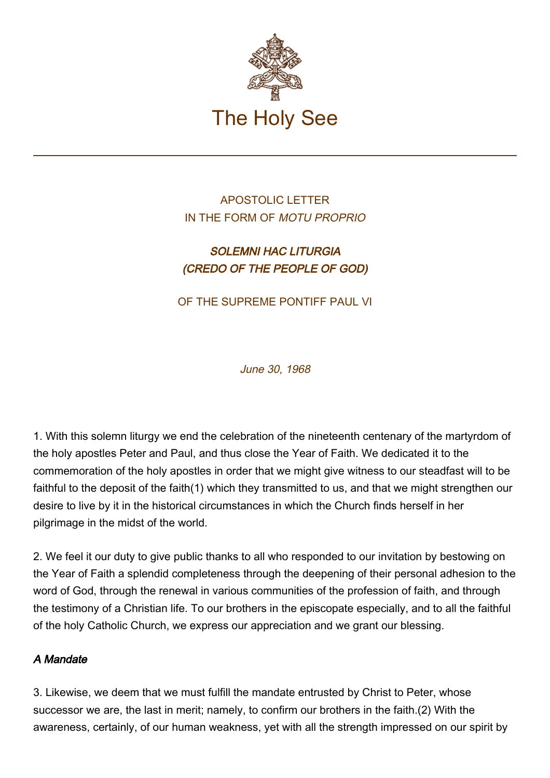

# APOSTOLIC LETTER IN THE FORM OF MOTU PROPRIO

# SOLEMNI HAC LITURGIA (CREDO OF THE PEOPLE OF GOD)

OF THE SUPREME PONTIFF PAUL VI

June 30, 1968

1. With this solemn liturgy we end the celebration of the nineteenth centenary of the martyrdom of the holy apostles Peter and Paul, and thus close the Year of Faith. We dedicated it to the commemoration of the holy apostles in order that we might give witness to our steadfast will to be faithful to the deposit of the faith(1) which they transmitted to us, and that we might strengthen our desire to live by it in the historical circumstances in which the Church finds herself in her pilgrimage in the midst of the world.

2. We feel it our duty to give public thanks to all who responded to our invitation by bestowing on the Year of Faith a splendid completeness through the deepening of their personal adhesion to the word of God, through the renewal in various communities of the profession of faith, and through the testimony of a Christian life. To our brothers in the episcopate especially, and to all the faithful of the holy Catholic Church, we express our appreciation and we grant our blessing.

## A Mandate

3. Likewise, we deem that we must fulfill the mandate entrusted by Christ to Peter, whose successor we are, the last in merit; namely, to confirm our brothers in the faith.(2) With the awareness, certainly, of our human weakness, yet with all the strength impressed on our spirit by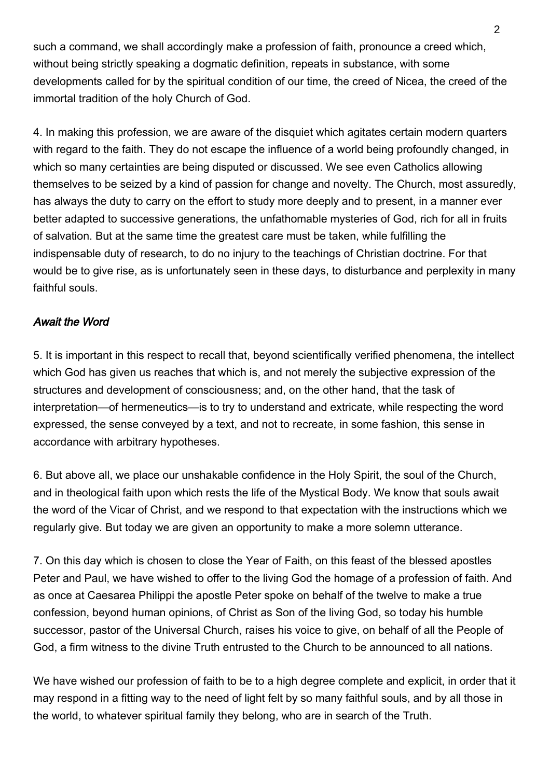such a command, we shall accordingly make a profession of faith, pronounce a creed which, without being strictly speaking a dogmatic definition, repeats in substance, with some developments called for by the spiritual condition of our time, the creed of Nicea, the creed of the immortal tradition of the holy Church of God.

4. In making this profession, we are aware of the disquiet which agitates certain modern quarters with regard to the faith. They do not escape the influence of a world being profoundly changed, in which so many certainties are being disputed or discussed. We see even Catholics allowing themselves to be seized by a kind of passion for change and novelty. The Church, most assuredly, has always the duty to carry on the effort to study more deeply and to present, in a manner ever better adapted to successive generations, the unfathomable mysteries of God, rich for all in fruits of salvation. But at the same time the greatest care must be taken, while fulfilling the indispensable duty of research, to do no injury to the teachings of Christian doctrine. For that would be to give rise, as is unfortunately seen in these days, to disturbance and perplexity in many faithful souls.

#### Await the Word

5. It is important in this respect to recall that, beyond scientifically verified phenomena, the intellect which God has given us reaches that which is, and not merely the subjective expression of the structures and development of consciousness; and, on the other hand, that the task of interpretation—of hermeneutics—is to try to understand and extricate, while respecting the word expressed, the sense conveyed by a text, and not to recreate, in some fashion, this sense in accordance with arbitrary hypotheses.

6. But above all, we place our unshakable confidence in the Holy Spirit, the soul of the Church, and in theological faith upon which rests the life of the Mystical Body. We know that souls await the word of the Vicar of Christ, and we respond to that expectation with the instructions which we regularly give. But today we are given an opportunity to make a more solemn utterance.

7. On this day which is chosen to close the Year of Faith, on this feast of the blessed apostles Peter and Paul, we have wished to offer to the living God the homage of a profession of faith. And as once at Caesarea Philippi the apostle Peter spoke on behalf of the twelve to make a true confession, beyond human opinions, of Christ as Son of the living God, so today his humble successor, pastor of the Universal Church, raises his voice to give, on behalf of all the People of God, a firm witness to the divine Truth entrusted to the Church to be announced to all nations.

We have wished our profession of faith to be to a high degree complete and explicit, in order that it may respond in a fitting way to the need of light felt by so many faithful souls, and by all those in the world, to whatever spiritual family they belong, who are in search of the Truth.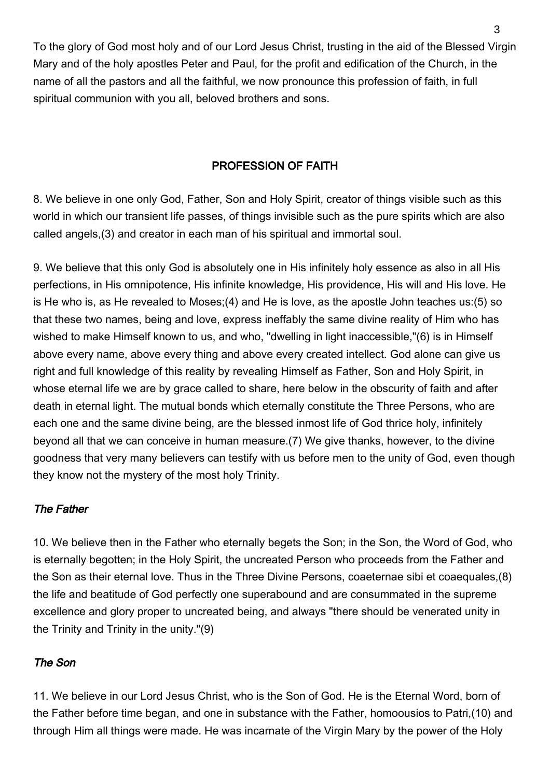To the glory of God most holy and of our Lord Jesus Christ, trusting in the aid of the Blessed Virgin Mary and of the holy apostles Peter and Paul, for the profit and edification of the Church, in the name of all the pastors and all the faithful, we now pronounce this profession of faith, in full spiritual communion with you all, beloved brothers and sons.

#### PROFESSION OF FAITH

8. We believe in one only God, Father, Son and Holy Spirit, creator of things visible such as this world in which our transient life passes, of things invisible such as the pure spirits which are also called angels,(3) and creator in each man of his spiritual and immortal soul.

9. We believe that this only God is absolutely one in His infinitely holy essence as also in all His perfections, in His omnipotence, His infinite knowledge, His providence, His will and His love. He is He who is, as He revealed to Moses;(4) and He is love, as the apostle John teaches us:(5) so that these two names, being and love, express ineffably the same divine reality of Him who has wished to make Himself known to us, and who, "dwelling in light inaccessible,"(6) is in Himself above every name, above every thing and above every created intellect. God alone can give us right and full knowledge of this reality by revealing Himself as Father, Son and Holy Spirit, in whose eternal life we are by grace called to share, here below in the obscurity of faith and after death in eternal light. The mutual bonds which eternally constitute the Three Persons, who are each one and the same divine being, are the blessed inmost life of God thrice holy, infinitely beyond all that we can conceive in human measure.(7) We give thanks, however, to the divine goodness that very many believers can testify with us before men to the unity of God, even though they know not the mystery of the most holy Trinity.

#### The Father

10. We believe then in the Father who eternally begets the Son; in the Son, the Word of God, who is eternally begotten; in the Holy Spirit, the uncreated Person who proceeds from the Father and the Son as their eternal love. Thus in the Three Divine Persons, coaeternae sibi et coaequales,(8) the life and beatitude of God perfectly one superabound and are consummated in the supreme excellence and glory proper to uncreated being, and always "there should be venerated unity in the Trinity and Trinity in the unity."(9)

#### The Son

11. We believe in our Lord Jesus Christ, who is the Son of God. He is the Eternal Word, born of the Father before time began, and one in substance with the Father, homoousios to Patri,(10) and through Him all things were made. He was incarnate of the Virgin Mary by the power of the Holy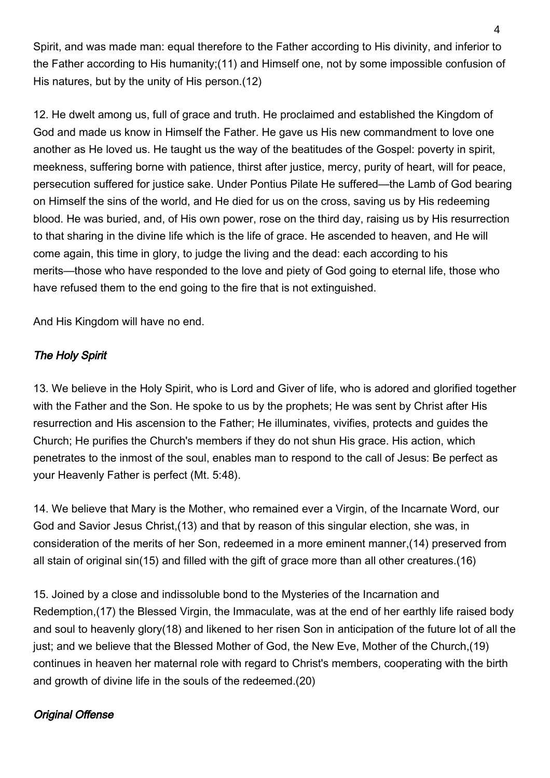Spirit, and was made man: equal therefore to the Father according to His divinity, and inferior to the Father according to His humanity;(11) and Himself one, not by some impossible confusion of His natures, but by the unity of His person.(12)

12. He dwelt among us, full of grace and truth. He proclaimed and established the Kingdom of God and made us know in Himself the Father. He gave us His new commandment to love one another as He loved us. He taught us the way of the beatitudes of the Gospel: poverty in spirit, meekness, suffering borne with patience, thirst after justice, mercy, purity of heart, will for peace, persecution suffered for justice sake. Under Pontius Pilate He suffered—the Lamb of God bearing on Himself the sins of the world, and He died for us on the cross, saving us by His redeeming blood. He was buried, and, of His own power, rose on the third day, raising us by His resurrection to that sharing in the divine life which is the life of grace. He ascended to heaven, and He will come again, this time in glory, to judge the living and the dead: each according to his merits—those who have responded to the love and piety of God going to eternal life, those who have refused them to the end going to the fire that is not extinguished.

And His Kingdom will have no end.

## The Holy Spirit

13. We believe in the Holy Spirit, who is Lord and Giver of life, who is adored and glorified together with the Father and the Son. He spoke to us by the prophets; He was sent by Christ after His resurrection and His ascension to the Father; He illuminates, vivifies, protects and guides the Church; He purifies the Church's members if they do not shun His grace. His action, which penetrates to the inmost of the soul, enables man to respond to the call of Jesus: Be perfect as your Heavenly Father is perfect (Mt. 5:48).

14. We believe that Mary is the Mother, who remained ever a Virgin, of the Incarnate Word, our God and Savior Jesus Christ,(13) and that by reason of this singular election, she was, in consideration of the merits of her Son, redeemed in a more eminent manner,(14) preserved from all stain of original sin(15) and filled with the gift of grace more than all other creatures.(16)

15. Joined by a close and indissoluble bond to the Mysteries of the Incarnation and Redemption,(17) the Blessed Virgin, the Immaculate, was at the end of her earthly life raised body and soul to heavenly glory(18) and likened to her risen Son in anticipation of the future lot of all the just; and we believe that the Blessed Mother of God, the New Eve, Mother of the Church,(19) continues in heaven her maternal role with regard to Christ's members, cooperating with the birth and growth of divine life in the souls of the redeemed.(20)

## Original Offense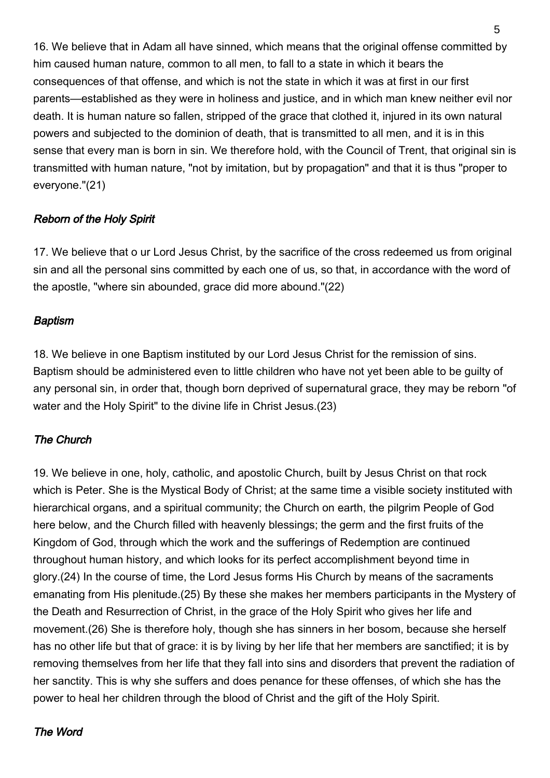16. We believe that in Adam all have sinned, which means that the original offense committed by him caused human nature, common to all men, to fall to a state in which it bears the consequences of that offense, and which is not the state in which it was at first in our first parents—established as they were in holiness and justice, and in which man knew neither evil nor death. It is human nature so fallen, stripped of the grace that clothed it, injured in its own natural powers and subjected to the dominion of death, that is transmitted to all men, and it is in this sense that every man is born in sin. We therefore hold, with the Council of Trent, that original sin is transmitted with human nature, "not by imitation, but by propagation" and that it is thus "proper to everyone."(21)

#### Reborn of the Holy Spirit

17. We believe that o ur Lord Jesus Christ, by the sacrifice of the cross redeemed us from original sin and all the personal sins committed by each one of us, so that, in accordance with the word of the apostle, "where sin abounded, grace did more abound."(22)

#### **Baptism**

18. We believe in one Baptism instituted by our Lord Jesus Christ for the remission of sins. Baptism should be administered even to little children who have not yet been able to be guilty of any personal sin, in order that, though born deprived of supernatural grace, they may be reborn "of water and the Holy Spirit" to the divine life in Christ Jesus.(23)

#### The Church

19. We believe in one, holy, catholic, and apostolic Church, built by Jesus Christ on that rock which is Peter. She is the Mystical Body of Christ; at the same time a visible society instituted with hierarchical organs, and a spiritual community; the Church on earth, the pilgrim People of God here below, and the Church filled with heavenly blessings; the germ and the first fruits of the Kingdom of God, through which the work and the sufferings of Redemption are continued throughout human history, and which looks for its perfect accomplishment beyond time in glory.(24) In the course of time, the Lord Jesus forms His Church by means of the sacraments emanating from His plenitude.(25) By these she makes her members participants in the Mystery of the Death and Resurrection of Christ, in the grace of the Holy Spirit who gives her life and movement.(26) She is therefore holy, though she has sinners in her bosom, because she herself has no other life but that of grace: it is by living by her life that her members are sanctified; it is by removing themselves from her life that they fall into sins and disorders that prevent the radiation of her sanctity. This is why she suffers and does penance for these offenses, of which she has the power to heal her children through the blood of Christ and the gift of the Holy Spirit.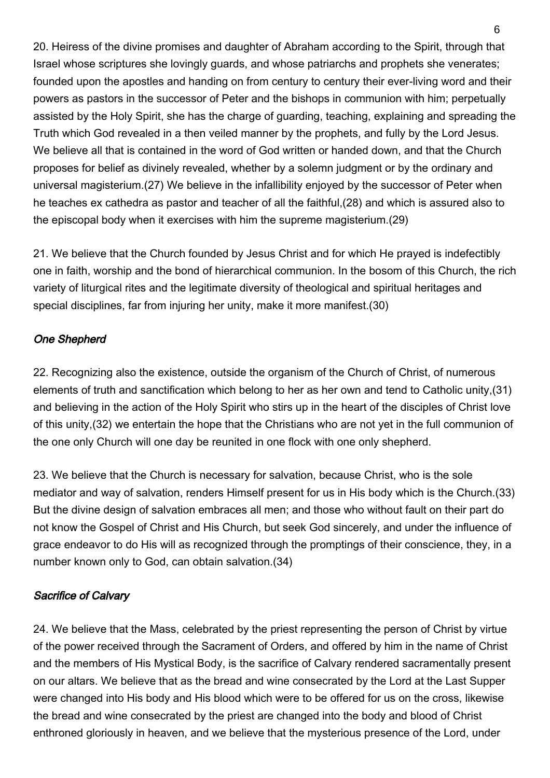20. Heiress of the divine promises and daughter of Abraham according to the Spirit, through that Israel whose scriptures she lovingly guards, and whose patriarchs and prophets she venerates; founded upon the apostles and handing on from century to century their ever-living word and their powers as pastors in the successor of Peter and the bishops in communion with him; perpetually assisted by the Holy Spirit, she has the charge of guarding, teaching, explaining and spreading the Truth which God revealed in a then veiled manner by the prophets, and fully by the Lord Jesus. We believe all that is contained in the word of God written or handed down, and that the Church proposes for belief as divinely revealed, whether by a solemn judgment or by the ordinary and universal magisterium.(27) We believe in the infallibility enjoyed by the successor of Peter when he teaches ex cathedra as pastor and teacher of all the faithful,(28) and which is assured also to the episcopal body when it exercises with him the supreme magisterium.(29)

21. We believe that the Church founded by Jesus Christ and for which He prayed is indefectibly one in faith, worship and the bond of hierarchical communion. In the bosom of this Church, the rich variety of liturgical rites and the legitimate diversity of theological and spiritual heritages and special disciplines, far from injuring her unity, make it more manifest.(30)

#### One Shepherd

22. Recognizing also the existence, outside the organism of the Church of Christ, of numerous elements of truth and sanctification which belong to her as her own and tend to Catholic unity,(31) and believing in the action of the Holy Spirit who stirs up in the heart of the disciples of Christ love of this unity,(32) we entertain the hope that the Christians who are not yet in the full communion of the one only Church will one day be reunited in one flock with one only shepherd.

23. We believe that the Church is necessary for salvation, because Christ, who is the sole mediator and way of salvation, renders Himself present for us in His body which is the Church.(33) But the divine design of salvation embraces all men; and those who without fault on their part do not know the Gospel of Christ and His Church, but seek God sincerely, and under the influence of grace endeavor to do His will as recognized through the promptings of their conscience, they, in a number known only to God, can obtain salvation.(34)

## Sacrifice of Calvary

24. We believe that the Mass, celebrated by the priest representing the person of Christ by virtue of the power received through the Sacrament of Orders, and offered by him in the name of Christ and the members of His Mystical Body, is the sacrifice of Calvary rendered sacramentally present on our altars. We believe that as the bread and wine consecrated by the Lord at the Last Supper were changed into His body and His blood which were to be offered for us on the cross, likewise the bread and wine consecrated by the priest are changed into the body and blood of Christ enthroned gloriously in heaven, and we believe that the mysterious presence of the Lord, under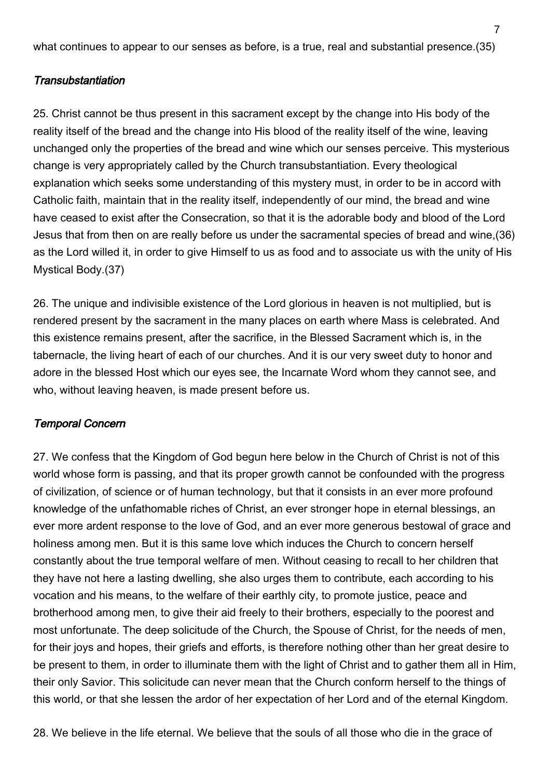what continues to appear to our senses as before, is a true, real and substantial presence.(35)

#### **Transubstantiation**

25. Christ cannot be thus present in this sacrament except by the change into His body of the reality itself of the bread and the change into His blood of the reality itself of the wine, leaving unchanged only the properties of the bread and wine which our senses perceive. This mysterious change is very appropriately called by the Church transubstantiation. Every theological explanation which seeks some understanding of this mystery must, in order to be in accord with Catholic faith, maintain that in the reality itself, independently of our mind, the bread and wine have ceased to exist after the Consecration, so that it is the adorable body and blood of the Lord Jesus that from then on are really before us under the sacramental species of bread and wine,(36) as the Lord willed it, in order to give Himself to us as food and to associate us with the unity of His Mystical Body.(37)

26. The unique and indivisible existence of the Lord glorious in heaven is not multiplied, but is rendered present by the sacrament in the many places on earth where Mass is celebrated. And this existence remains present, after the sacrifice, in the Blessed Sacrament which is, in the tabernacle, the living heart of each of our churches. And it is our very sweet duty to honor and adore in the blessed Host which our eyes see, the Incarnate Word whom they cannot see, and who, without leaving heaven, is made present before us.

## Temporal Concern

27. We confess that the Kingdom of God begun here below in the Church of Christ is not of this world whose form is passing, and that its proper growth cannot be confounded with the progress of civilization, of science or of human technology, but that it consists in an ever more profound knowledge of the unfathomable riches of Christ, an ever stronger hope in eternal blessings, an ever more ardent response to the love of God, and an ever more generous bestowal of grace and holiness among men. But it is this same love which induces the Church to concern herself constantly about the true temporal welfare of men. Without ceasing to recall to her children that they have not here a lasting dwelling, she also urges them to contribute, each according to his vocation and his means, to the welfare of their earthly city, to promote justice, peace and brotherhood among men, to give their aid freely to their brothers, especially to the poorest and most unfortunate. The deep solicitude of the Church, the Spouse of Christ, for the needs of men, for their joys and hopes, their griefs and efforts, is therefore nothing other than her great desire to be present to them, in order to illuminate them with the light of Christ and to gather them all in Him, their only Savior. This solicitude can never mean that the Church conform herself to the things of this world, or that she lessen the ardor of her expectation of her Lord and of the eternal Kingdom.

28. We believe in the life eternal. We believe that the souls of all those who die in the grace of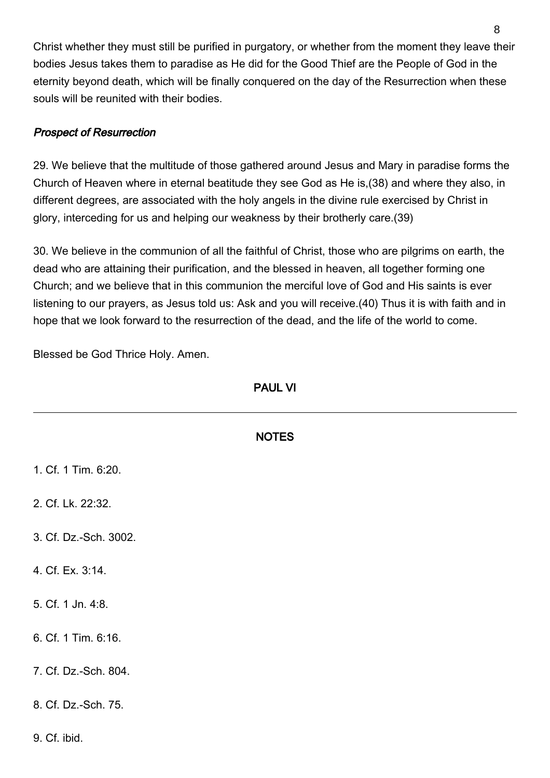Christ whether they must still be purified in purgatory, or whether from the moment they leave their bodies Jesus takes them to paradise as He did for the Good Thief are the People of God in the eternity beyond death, which will be finally conquered on the day of the Resurrection when these souls will be reunited with their bodies.

#### Prospect of Resurrection

29. We believe that the multitude of those gathered around Jesus and Mary in paradise forms the Church of Heaven where in eternal beatitude they see God as He is,(38) and where they also, in different degrees, are associated with the holy angels in the divine rule exercised by Christ in glory, interceding for us and helping our weakness by their brotherly care.(39)

30. We believe in the communion of all the faithful of Christ, those who are pilgrims on earth, the dead who are attaining their purification, and the blessed in heaven, all together forming one Church; and we believe that in this communion the merciful love of God and His saints is ever listening to our prayers, as Jesus told us: Ask and you will receive.(40) Thus it is with faith and in hope that we look forward to the resurrection of the dead, and the life of the world to come.

Blessed be God Thrice Holy. Amen.

#### PAUL VI

|                       | <b>NOTES</b> |
|-----------------------|--------------|
| 1. Cf. 1 Tim. 6:20.   |              |
| 2. Cf. Lk. 22:32.     |              |
| 3. Cf. Dz.-Sch. 3002. |              |
| 4. Cf. Ex. 3:14.      |              |
| 5. Cf. 1 Jn. 4:8.     |              |
| 6. Cf. 1 Tim. 6:16.   |              |
| 7. Cf. Dz.-Sch. 804.  |              |
| 8. Cf. Dz.-Sch. 75.   |              |
| 9. Cf. ibid.          |              |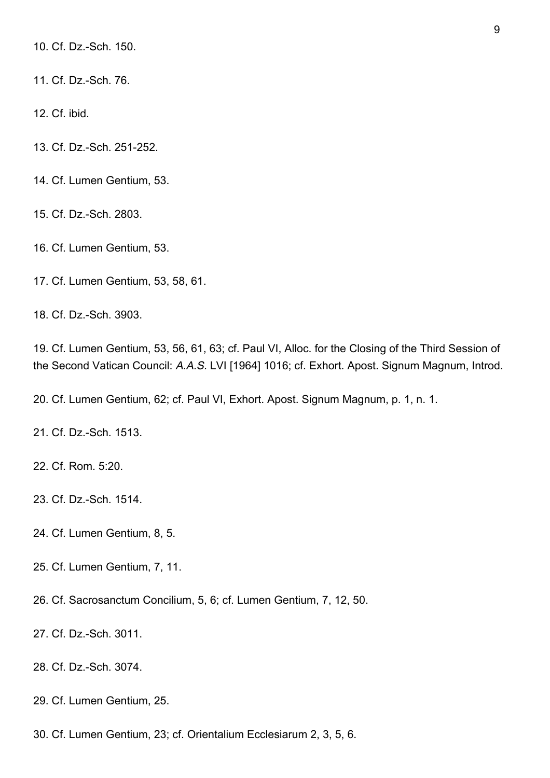10. Cf. Dz.-Sch. 150.

11. Cf. Dz.-Sch. 76.

12. Cf. ibid.

13. Cf. Dz.-Sch. 251-252.

14. Cf. Lumen Gentium, 53.

15. Cf. Dz.-Sch. 2803.

16. Cf. Lumen Gentium, 53.

17. Cf. Lumen Gentium, 53, 58, 61.

18. Cf. Dz.-Sch. 3903.

19. Cf. Lumen Gentium, 53, 56, 61, 63; cf. Paul VI, Alloc. for the Closing of the Third Session of the Second Vatican Council: A.A.S. LVI [1964] 1016; cf. Exhort. Apost. Signum Magnum, Introd.

20. Cf. Lumen Gentium, 62; cf. Paul VI, Exhort. Apost. Signum Magnum, p. 1, n. 1.

21. Cf. Dz.-Sch. 1513.

22. Cf. Rom. 5:20.

23. Cf. Dz.-Sch. 1514.

24. Cf. Lumen Gentium, 8, 5.

25. Cf. Lumen Gentium, 7, 11.

26. Cf. Sacrosanctum Concilium, 5, 6; cf. Lumen Gentium, 7, 12, 50.

27. Cf. Dz.-Sch. 3011.

28. Cf. Dz.-Sch. 3074.

29. Cf. Lumen Gentium, 25.

30. Cf. Lumen Gentium, 23; cf. Orientalium Ecclesiarum 2, 3, 5, 6.